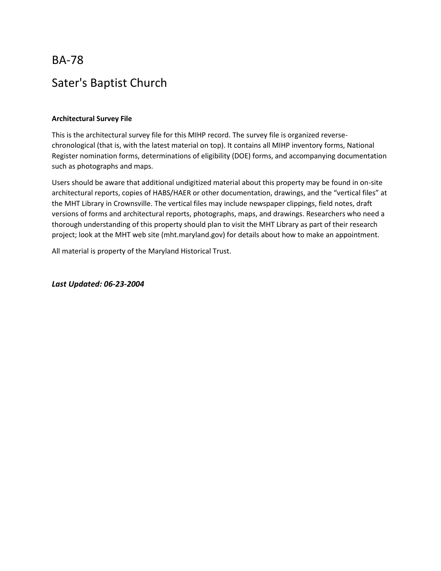BA-78 Sater's Baptist Church

### **Architectural Survey File**

This is the architectural survey file for this MIHP record. The survey file is organized reversechronological (that is, with the latest material on top). It contains all MIHP inventory forms, National Register nomination forms, determinations of eligibility (DOE) forms, and accompanying documentation such as photographs and maps.

Users should be aware that additional undigitized material about this property may be found in on-site architectural reports, copies of HABS/HAER or other documentation, drawings, and the "vertical files" at the MHT Library in Crownsville. The vertical files may include newspaper clippings, field notes, draft versions of forms and architectural reports, photographs, maps, and drawings. Researchers who need a thorough understanding of this property should plan to visit the MHT Library as part of their research project; look at the MHT web site (mht.maryland.gov) for details about how to make an appointment.

All material is property of the Maryland Historical Trust.

*Last Updated: 06-23-2004*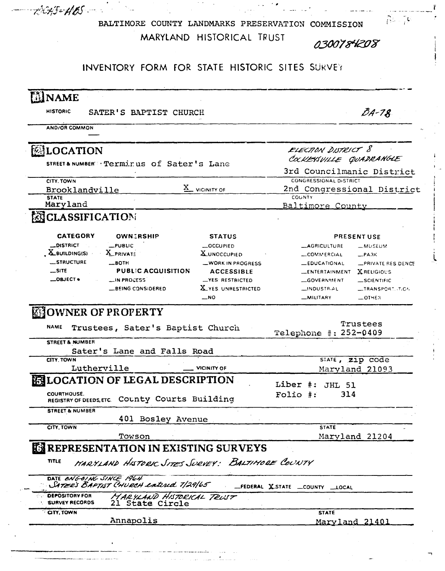$86 - 76$ BALTIMORE COUNTY LANDMARKS PRESERVATION COMMISSION MARYLAND HISTORICAL TRUST 0300784208

م کا انتخاب

Ï.

# INVENTORY FORM FOR STATE HISTORIC SITES SURVEY

ACHS=HOS

| <b>HISTORIC</b>                                | SATER'S BAPTIST CHURCH                                                                           |                                       |                                  | $BA-78$                               |
|------------------------------------------------|--------------------------------------------------------------------------------------------------|---------------------------------------|----------------------------------|---------------------------------------|
| <b>AND/OR COMMON</b>                           |                                                                                                  |                                       |                                  |                                       |
| <b>MLOCATION</b>                               |                                                                                                  |                                       | ELECTION DISTRICT 8              |                                       |
|                                                |                                                                                                  |                                       | COCKEYSVILLE QUADRANGLE          |                                       |
|                                                | STREET& NUMBER : Terminus of Sater's Lane                                                        |                                       | 3rd Councilmanic District        |                                       |
| CITY. TOWN                                     |                                                                                                  |                                       | CONGRESSIONAL DISTRICT           |                                       |
| Brooklandville                                 |                                                                                                  | $\underline{X}$ vicinity of           | 2nd Congressional District       |                                       |
| <b>STATE</b><br>Maryland                       |                                                                                                  |                                       | COUNTY                           |                                       |
|                                                |                                                                                                  |                                       | Baltimore County                 |                                       |
| <b>ENCLASSIFICATION</b>                        |                                                                                                  |                                       |                                  |                                       |
| <b>CATEGORY</b>                                | <b>OWNERSHIP</b>                                                                                 | <b>STATUS</b>                         |                                  | PRESENT USE                           |
| <b>DISTRICT</b>                                | $-$ PUBLIC                                                                                       | -OCCUPIED                             | <b>_AGRICULTURE</b>              | <b>__MUSEUM</b>                       |
| $\mathbf{X}$ building(s)                       | X_PRIVATE                                                                                        | <b>X</b> UNOCCUPIED                   | <b>COMMERCIAL</b>                | $R$ PARK                              |
| <b>__STRUCTURE</b>                             | $-$ BOTH                                                                                         | -WORK IN PROGRESS                     | <b>EDUCATIONAL</b>               | <b>_PRIVATE RES.DENCE</b>             |
| $\equiv$ SITE<br>$\_$ OBJECT $\bullet$         | <b>PUBLIC ACQUISITION</b><br><b>LIN PROCESS</b>                                                  | <b>ACCESSIBLE</b><br>-YES: RESTRICTED | <b>LENTERTAINMENT</b>            | <b>XRELIGIOUS</b>                     |
|                                                | <b>LBEING CONSIDERED</b>                                                                         | X YES UNRESTRICTED                    | GOVERNMENT<br>_INDUSTR.AL        | _SCIENTIFIC<br><b>__TRANSPORTT.CN</b> |
|                                                |                                                                                                  | $\overline{\phantom{0}}$ NO           | <b>MILITARY</b>                  | $-$ OTHER                             |
| <b>EFOWNER OF PROPERTY</b>                     |                                                                                                  |                                       |                                  | Trustees                              |
| <b>NAME</b><br>STREET & NUMBER                 | Trustees, Sater's Baptist Church                                                                 |                                       | Telephone #: 252-0409            |                                       |
|                                                | Sater's Lane and Falls Road                                                                      |                                       |                                  |                                       |
| CITY TOWN                                      |                                                                                                  |                                       |                                  | STATE, Z1p code                       |
| Lutherville                                    |                                                                                                  | <b>VICINITY OF</b>                    |                                  | Maryland 21093                        |
|                                                | <b>ELOCATION OF LEGAL DESCRIPTION</b>                                                            |                                       | Liber #:<br><b>JHL 51</b>        |                                       |
| <b>COURTHOUSE.</b>                             | REGISTRY OF DEEDS, ETC. COUNTY COURTS Building                                                   |                                       | 314<br>Folio #:                  |                                       |
| <b>STREET &amp; NUMBER</b>                     |                                                                                                  |                                       |                                  |                                       |
| CITY, TOWN                                     | 401 Bosley Avenue                                                                                |                                       | <b>STATE</b>                     |                                       |
|                                                | Towson                                                                                           |                                       |                                  | Maryland 21204                        |
|                                                |                                                                                                  |                                       |                                  |                                       |
| TITLE                                          | <b>EX REPRESENTATION IN EXISTING SURVEYS</b><br>MARYLAND HISTORIC SITES SURVEY: BALTIMORE COUNTY |                                       |                                  |                                       |
| DATE ONGOING SINCE 1964                        | SATER'S BAPTIST CHURCH EATEREd T/29/65                                                           |                                       | _FEDERAL X_STATE _COUNTY __LOCAL |                                       |
| <b>DEPOSITORY FOR</b><br><b>SURVEY RECORDS</b> | MARYLAND HISTORICAL TRUST<br>21 State Circle                                                     |                                       |                                  |                                       |
| <b>CITY, TOWN</b>                              | Annapolis                                                                                        |                                       | <b>STATE</b>                     |                                       |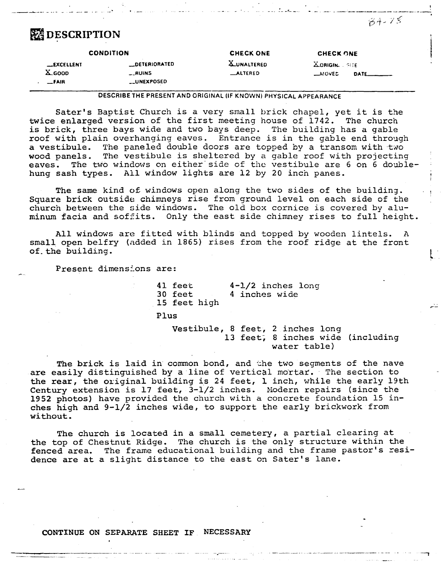# **EX DESCRIPTION**

| <b>X_UNALTERED</b><br><b>ZORIGIN.</b> SITE<br><b>DETERIORATED</b><br><b>EXCELLENT</b><br>$X$ GOOD<br><b>__RUINS</b><br><b>_ALTERED</b><br>$\rightarrow$ NOVED |              | <b>CONDITION</b>   | <b>CHECK ONE</b> | <b>CHECK ONE</b> |
|---------------------------------------------------------------------------------------------------------------------------------------------------------------|--------------|--------------------|------------------|------------------|
|                                                                                                                                                               | <b>_FAIR</b> | <b>__UNEXPOSED</b> |                  |                  |

DESCRIBE THE PRESENT ANO ORIGINAL (IF KNOWN) PHYSICAL APPEARANCE

Sater's Baptist Church is a very small brick chapel, yet it is the twice enlarged version of the first meeting house of 1742. The church is brick, three bays wide and two bays deep. The building has a gable roof with plain overhanging eaves. Entrance is in the gable end through a vestibule. The paneled double doors are topped by a transom with two wood panels. The vestibule is sheltered by a gable roof with projecting eaves. The two windows on either side of the vestibule are 6 on 6 doublehung sash types. All window lights are 12 by 20 inch panes.

The same kind of windows open along the two sides of the building. Square brick outside chimneys rise from ground level on each side of the church between the side windows. The old box cornice is covered by aluminum facia and soffits. Only the east side chimney rises to full height.

All windows are fitted with blinds and topped by wooden lintels. A small open belfry (added in 1865) rises from the roof ridge at the front  $\frac{1}{2}$   $\frac{1}{2}$   $\frac{1}{2}$   $\frac{1}{2}$   $\frac{1}{2}$   $\frac{1}{2}$   $\frac{1}{2}$   $\frac{1}{2}$   $\frac{1}{2}$   $\frac{1}{2}$   $\frac{1}{2}$   $\frac{1}{2}$   $\frac{1}{2}$   $\frac{1}{2}$   $\frac{1}{2}$   $\frac{1}{2}$   $\frac{1}{2}$   $\frac{1}{2}$   $\frac{1}{2}$   $\frac{1}{2}$   $\frac{1}{2}$   $\frac{1}{2}$ 

Present dimensions are:

41 feet 30 feet 15 feet high

4-1/2 inches long 4 inches wide

Plus

Vestibule, 8 feet, 2 inches long 13 feet, 8 inches wide (including water table)

--- \_\_ ,.! \_\_\_ \_

The brick is laid in common bond, and the two segments of the nave are easily distinguished by a line of vertical mortar. The section to the rear, the original building is 24 feet, 1 inch, while the early 19th Century extension is 17 feet, 3-1/2 inches. Modern repairs (since the 1952 photos) have provided the church with a concrete foundation 15 inches high and 9-1/2 inches wide, to support the early brickwork from without.

The church is located in a small cemetery, a partial clearing at the top of Chestnut Ridge. The church is the only structure within the fenced area. The frame educational building and the frame pastor's residence are at a slight distance to the east on Sater's lane.

-------------- - ·-·-- --· ·-. - ------------------

#### CONTINUE ON SEPARATE SHEET IF NECESSARY

 $84 - 78$ 

 $\mathbb{R}^2$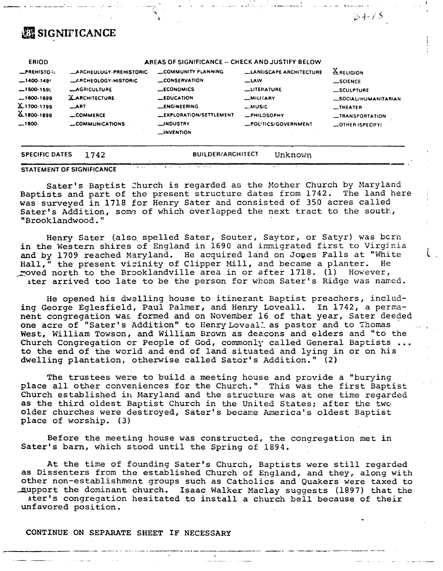# **ER SIGNIFICANCE**

| <b>ERIOD</b>                                                                                |                                                                                          | AREAS OF SIGNIFICANCE -- CHECK AND JUSTIFY BELOW                                                                                           |                                                                                               |                                                                                                   |
|---------------------------------------------------------------------------------------------|------------------------------------------------------------------------------------------|--------------------------------------------------------------------------------------------------------------------------------------------|-----------------------------------------------------------------------------------------------|---------------------------------------------------------------------------------------------------|
| <b>_PREHISTORI</b><br>$-1400.1499$                                                          | <b>ARCHEOLOGY-PREHISTORIC</b><br><b>LARCHEOLOGY-HISTORIC</b>                             | <b>LOMMUNITY PLANNING</b><br><b>LCONSERVATION</b>                                                                                          | <b>LLANDSCAPE ARCHITECTURE</b><br>$-$ LAW                                                     | <b>X</b> RELIGION<br><b>_SCIENCE</b>                                                              |
| $-1500-1595$<br>$-1600-1699$<br>X 1700-1799<br>$\underline{\text{X}}$ 1800-1899<br>$-1900-$ | <b>LAGRICULTURE</b><br><b>XARCHITECTURE</b><br>ART<br>_COMMERCE<br><b>COMMUNICATIONS</b> | <b>__ECONOMICS</b><br><b>LEDUCATION</b><br><b>LENGINEERING</b><br><b>LEXPLORATION/SETTLEMENT</b><br><b>__INDUSTRY</b><br><b>LINVENTION</b> | <b>LUTERATURE</b><br>-MILITARY<br><b>_MUSIC</b><br><b>_PHILOSOPHY</b><br>-POLITICS/GOVERNMENT | _SCULPTURE<br><b>_SOCIAL/HUMANITARIAN</b><br>$I$ HEATER<br>-TRANSPORTATION<br>$-$ OTHER (SPECIFY) |

| SPECIFIC DATES 1742 |  | <b>BUILDER/ARCHITECT</b> | Unknown |  |
|---------------------|--|--------------------------|---------|--|
|                     |  |                          |         |  |

#### **STATEMENT OF SIGNIFICANCE**

Sater's Baptist Church is regarded as the Mother Church by Maryland Baptists and part of the present structure dates from 1742. The land here was surveyed in 1718 for Henry Sater and consisted of 350 acres called Sater's Addition, some of which overlapped the next tract to the south, "Brooklandwood."

Henry Sater (also spelled Sater, Souter, Saytor, or Satyr) was born in the Western shires of England in 1690 and immigrated first to Virginia and by 1709 reached Maryland. He acquired land on Jones Falls at "White Hall,<sup>n</sup> the present vicinity of Clipper Mill, and became a planter. He moved north to the Brooklandville area in or after 1718. (1) However, ater arrived too late to be the person for whom Sater's Ridge was named.

He opened his dwelling house to itinerant Baptist preachers, including George Eglesfield, Paul Palmer, and Henry Loveall. In 1742, a permanent congregation was formed and on November 16 of that year, Sater deeded one acre of "Sater's Addition" to Henry Loveall as pastor and to Thomas West, William Towson, and William Brown as deacons and elders and "to the Church Congregation or People of God, commonly called General Baptists ... to the end of the world and end of land situated and lying in or on his dwelling plantation, otherwise called Sator's Addition." (2)

The trustees were to build a meeting house and provide a "burying place all other conveniences for the Church." This was the first Baptist Church established in Maryland and the structure was at one time regarded as the third oldest Baptist Church in the United States; after the two older churches were destroyed, Sater's became America's oldest Baptist place of worship. (3)

Before the meeting house was constructed, the congregation met in Sater's barn, which stood until the Spring of 1894.

At the time of founding Sater's Church, Baptists were still regarded as Dissenters from the established Church of England, and they, along with other non-establishment groups such as Catholics and Quakers were taxed to support the dominant church. Isaac Walker Maclay suggests (1897) that the ater's congregation hesitated to install a church bell because of their unfavored position.

### CONTINUE ON SEPARATE SHEET IF NECESSARY

84-78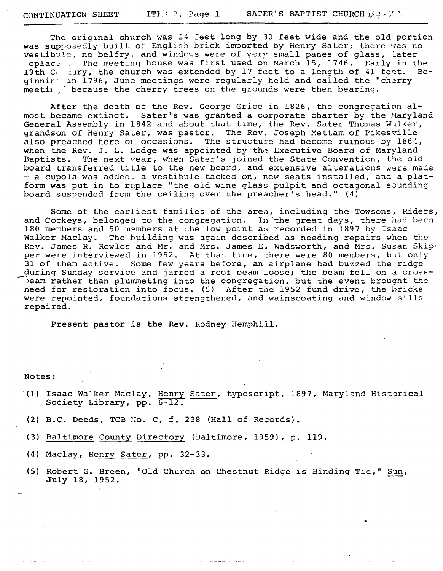The original church was 24 feet long by 10 feet wide and the old portion was supposedly built of English brick imported by Henry Sater; there vas no westibule, no belfry, and windows were of very small panes of glass, later eplac.: The meeting house was first used on March 15, 1746. Early in the 19th Compary, the church was extended by 17 feet to a length of 41 feet. Beginnir<sup>-</sup> in 1796, June meetings were regularly held and called the "cherry meetil  $\cdot$  because the cherry trees on the grounds were then bearing.

After the death of the Rev. George Grice in 1826, the congregation almost became extinct. Sater's was granted a corporate charter by the Maryland General Assembly in 1842 and about that time, the Rev. Sater Thomas Walker, grandson of Henry Sater, was pastor. The Rev. Joseph Mettam of Pikesville also preached here on occasions. The structure had become ruinous by 1864, when the Rev. J. L. Lodge was appointed by the Executive Board of Maryland Baptists. The next vear, when Sater's joined the State Convention, the old board transferred title to the new board, and extensive alterations were made - a cupola was added, a vestibule tacked on, new seats installed, and a platform was put in to replace "the old wine glass pulpit and octagonal sounding board suspended from the ceiling over the preacher's head." (4)

Some of the earliest families of the area, including the Towsons, Riders, and Cockeys, belonged to the congregation. In the great days, there had been 180 members and 50 members at the low point as recorded in 1897 by Isaac Walker Maclay. The building was again described as needing repairs when the Rev. James R. Rowles and Mr. and Mrs. James E. Wadsworth, and Mrs. Susan Skipper were interviewed in 1952. At that time, there were 80 members, but only 31 of them active. Some few years before, an airplane had buzzed the ridge during Sunday service and jarred a roof beam loose; the beam fell on a crossbeam rather than plummeting into the congregation, but the event brought the need for restoration into focus. (5) After the 1952 fund drive, the bricks were repainted, foundations strengthened, and wainscoating and window sills repaired.

Present pastor is the Rev. Rodney Hemphill.

Notes:

- (1) Isaac Walker Maclay, Henry Sater, typescript, 1897, Maryland Historical Society Library, pp. 6-12.
- (2) B.C. Deeds, TCB Ho. C, f. 238 (Hall of Records).
- (3) Baltimore County Directory (Baltimore, 1959), p. 119.
- (4) Maclay, Henry Sater, pp. 32-33.
- (5) Robert G. Breen, "Old Church on. Chestnut Ridge is Binding Tie," Sun, July 18, 1952.